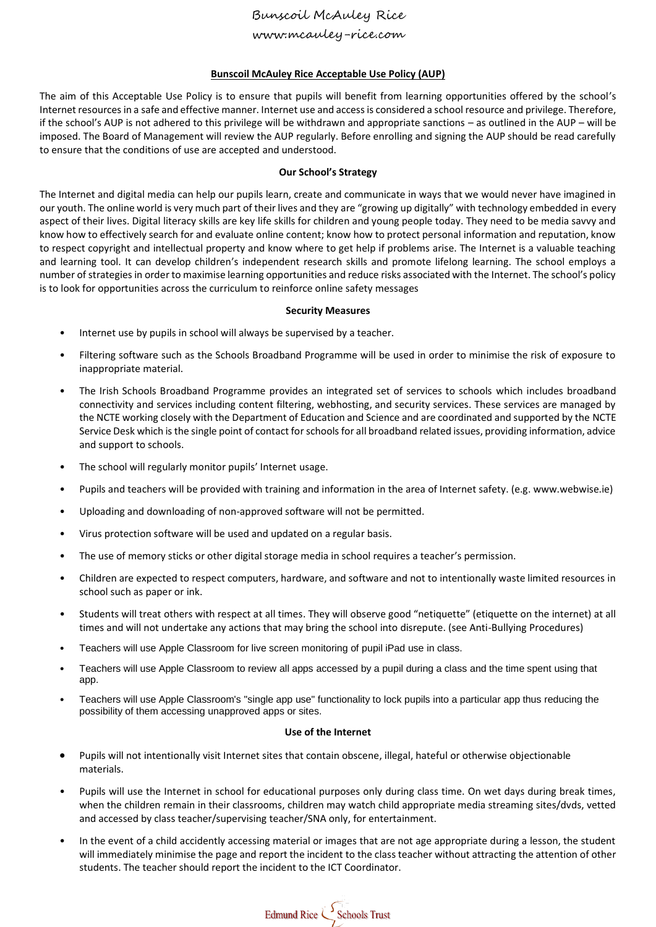www.mcauley-rice.com

### **Bunscoil McAuley Rice Acceptable Use Policy (AUP)**

The aim of this Acceptable Use Policy is to ensure that pupils will benefit from learning opportunities offered by the school's Internet resources in a safe and effective manner. Internet use and access is considered a school resource and privilege. Therefore, if the school's AUP is not adhered to this privilege will be withdrawn and appropriate sanctions – as outlined in the AUP – will be imposed. The Board of Management will review the AUP regularly. Before enrolling and signing the AUP should be read carefully to ensure that the conditions of use are accepted and understood.

### **Our School's Strategy**

The Internet and digital media can help our pupils learn, create and communicate in ways that we would never have imagined in our youth. The online world is very much part of their lives and they are "growing up digitally" with technology embedded in every aspect of their lives. Digital literacy skills are key life skills for children and young people today. They need to be media savvy and know how to effectively search for and evaluate online content; know how to protect personal information and reputation, know to respect copyright and intellectual property and know where to get help if problems arise. The Internet is a valuable teaching and learning tool. It can develop children's independent research skills and promote lifelong learning. The school employs a number of strategies in order to maximise learning opportunities and reduce risks associated with the Internet. The school's policy is to look for opportunities across the curriculum to reinforce online safety messages

### **Security Measures**

- Internet use by pupils in school will always be supervised by a teacher.
- Filtering software such as the Schools Broadband Programme will be used in order to minimise the risk of exposure to inappropriate material.
- The Irish Schools Broadband Programme provides an integrated set of services to schools which includes broadband connectivity and services including content filtering, webhosting, and security services. These services are managed by the NCTE working closely with the Department of Education and Science and are coordinated and supported by the NCTE Service Desk which is the single point of contact for schools for all broadband related issues, providing information, advice and support to schools.
- The school will regularly monitor pupils' Internet usage.
- Pupils and teachers will be provided with training and information in the area of Internet safety. (e.g. www.webwise.ie)
- Uploading and downloading of non-approved software will not be permitted.
- Virus protection software will be used and updated on a regular basis.
- The use of memory sticks or other digital storage media in school requires a teacher's permission.
- Children are expected to respect computers, hardware, and software and not to intentionally waste limited resources in school such as paper or ink.
- Students will treat others with respect at all times. They will observe good "netiquette" (etiquette on the internet) at all times and will not undertake any actions that may bring the school into disrepute. (see Anti-Bullying Procedures)
- Teachers will use Apple Classroom for live screen monitoring of pupil iPad use in class.
- Teachers will use Apple Classroom to review all apps accessed by a pupil during a class and the time spent using that app.
- Teachers will use Apple Classroom's "single app use" functionality to lock pupils into a particular app thus reducing the possibility of them accessing unapproved apps or sites.

#### **Use of the Internet**

- Pupils will not intentionally visit Internet sites that contain obscene, illegal, hateful or otherwise objectionable materials.
- Pupils will use the Internet in school for educational purposes only during class time. On wet days during break times, when the children remain in their classrooms, children may watch child appropriate media streaming sites/dvds, vetted and accessed by class teacher/supervising teacher/SNA only, for entertainment.
- In the event of a child accidently accessing material or images that are not age appropriate during a lesson, the student will immediately minimise the page and report the incident to the class teacher without attracting the attention of other students. The teacher should report the incident to the ICT Coordinator.

Edmund Rice Schools Trust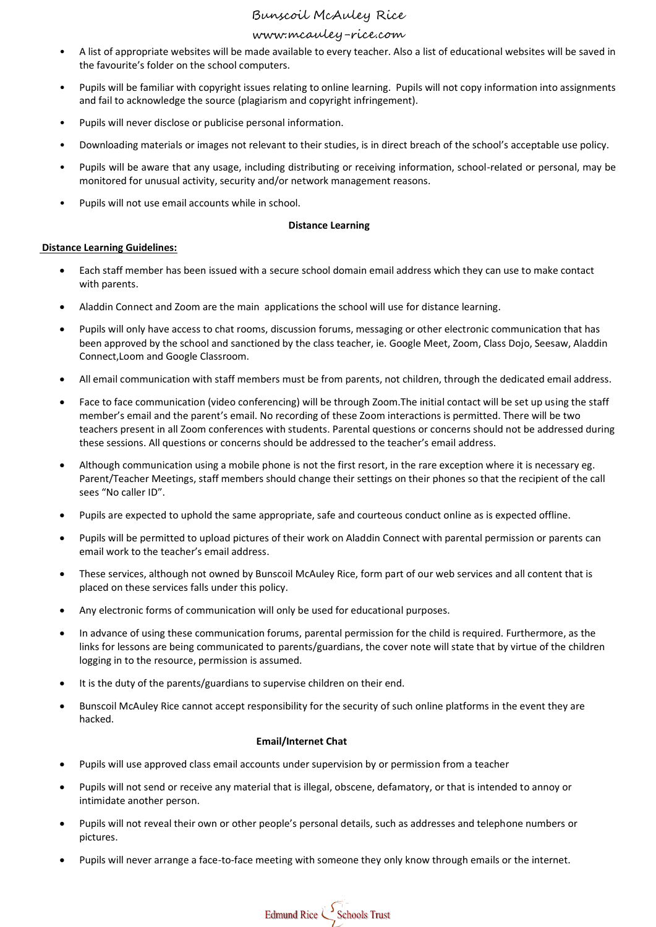# www.mcauley-rice.com

- A list of appropriate websites will be made available to every teacher. Also a list of educational websites will be saved in the favourite's folder on the school computers.
- Pupils will be familiar with copyright issues relating to online learning. Pupils will not copy information into assignments and fail to acknowledge the source (plagiarism and copyright infringement).
- Pupils will never disclose or publicise personal information.
- Downloading materials or images not relevant to their studies, is in direct breach of the school's acceptable use policy.
- Pupils will be aware that any usage, including distributing or receiving information, school-related or personal, may be monitored for unusual activity, security and/or network management reasons.
- Pupils will not use email accounts while in school.

### **Distance Learning**

### **Distance Learning Guidelines:**

- Each staff member has been issued with a secure school domain email address which they can use to make contact with parents.
- Aladdin Connect and Zoom are the main applications the school will use for distance learning.
- Pupils will only have access to chat rooms, discussion forums, messaging or other electronic communication that has been approved by the school and sanctioned by the class teacher, ie. Google Meet, Zoom, Class Dojo, Seesaw, Aladdin Connect,Loom and Google Classroom.
- All email communication with staff members must be from parents, not children, through the dedicated email address.
- Face to face communication (video conferencing) will be through Zoom.The initial contact will be set up using the staff member's email and the parent's email. No recording of these Zoom interactions is permitted. There will be two teachers present in all Zoom conferences with students. Parental questions or concerns should not be addressed during these sessions. All questions or concerns should be addressed to the teacher's email address.
- Although communication using a mobile phone is not the first resort, in the rare exception where it is necessary eg. Parent/Teacher Meetings, staff members should change their settings on their phones so that the recipient of the call sees "No caller ID".
- Pupils are expected to uphold the same appropriate, safe and courteous conduct online as is expected offline.
- Pupils will be permitted to upload pictures of their work on Aladdin Connect with parental permission or parents can email work to the teacher's email address.
- These services, although not owned by Bunscoil McAuley Rice, form part of our web services and all content that is placed on these services falls under this policy.
- Any electronic forms of communication will only be used for educational purposes.
- In advance of using these communication forums, parental permission for the child is required. Furthermore, as the links for lessons are being communicated to parents/guardians, the cover note will state that by virtue of the children logging in to the resource, permission is assumed.
- It is the duty of the parents/guardians to supervise children on their end.
- Bunscoil McAuley Rice cannot accept responsibility for the security of such online platforms in the event they are hacked.

### **Email/Internet Chat**

- Pupils will use approved class email accounts under supervision by or permission from a teacher
- Pupils will not send or receive any material that is illegal, obscene, defamatory, or that is intended to annoy or intimidate another person.
- Pupils will not reveal their own or other people's personal details, such as addresses and telephone numbers or pictures.
- Pupils will never arrange a face-to-face meeting with someone they only know through emails or the internet.

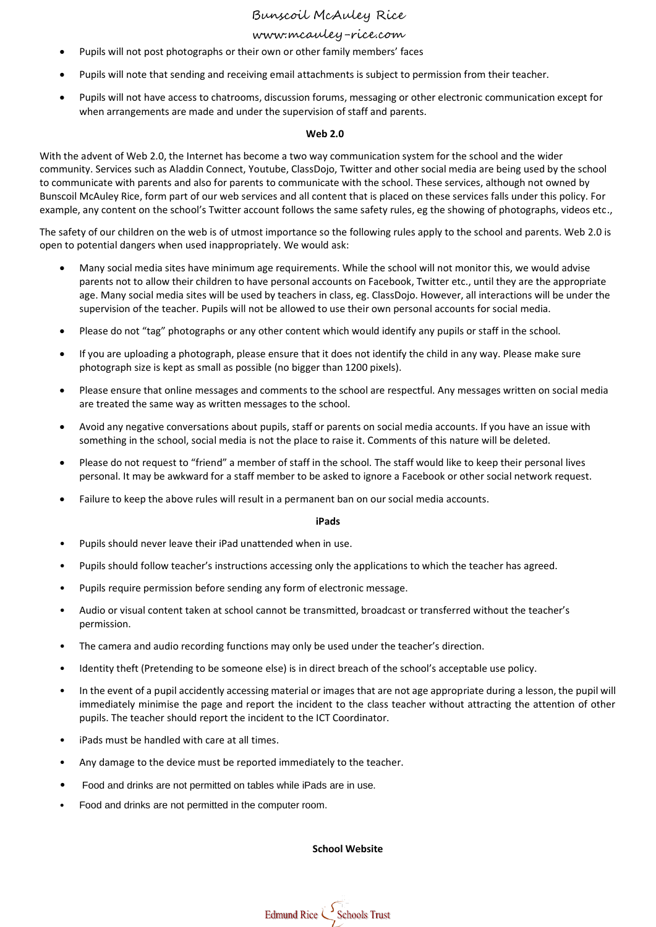# www.mcauley-rice.com

- Pupils will not post photographs or their own or other family members' faces
- Pupils will note that sending and receiving email attachments is subject to permission from their teacher.
- Pupils will not have access to chatrooms, discussion forums, messaging or other electronic communication except for when arrangements are made and under the supervision of staff and parents.

#### **Web 2.0**

With the advent of Web 2.0, the Internet has become a two way communication system for the school and the wider community. Services such as Aladdin Connect, Youtube, ClassDojo, Twitter and other social media are being used by the school to communicate with parents and also for parents to communicate with the school. These services, although not owned by Bunscoil McAuley Rice, form part of our web services and all content that is placed on these services falls under this policy. For example, any content on the school's Twitter account follows the same safety rules, eg the showing of photographs, videos etc.,

The safety of our children on the web is of utmost importance so the following rules apply to the school and parents. Web 2.0 is open to potential dangers when used inappropriately. We would ask:

- Many social media sites have minimum age requirements. While the school will not monitor this, we would advise parents not to allow their children to have personal accounts on Facebook, Twitter etc., until they are the appropriate age. Many social media sites will be used by teachers in class, eg. ClassDojo. However, all interactions will be under the supervision of the teacher. Pupils will not be allowed to use their own personal accounts for social media.
- Please do not "tag" photographs or any other content which would identify any pupils or staff in the school.
- If you are uploading a photograph, please ensure that it does not identify the child in any way. Please make sure photograph size is kept as small as possible (no bigger than 1200 pixels).
- Please ensure that online messages and comments to the school are respectful. Any messages written on social media are treated the same way as written messages to the school.
- Avoid any negative conversations about pupils, staff or parents on social media accounts. If you have an issue with something in the school, social media is not the place to raise it. Comments of this nature will be deleted.
- Please do not request to "friend" a member of staff in the school. The staff would like to keep their personal lives personal. It may be awkward for a staff member to be asked to ignore a Facebook or other social network request.
- Failure to keep the above rules will result in a permanent ban on our social media accounts.

#### **iPads**

- Pupils should never leave their iPad unattended when in use.
- Pupils should follow teacher's instructions accessing only the applications to which the teacher has agreed.
- Pupils require permission before sending any form of electronic message.
- Audio or visual content taken at school cannot be transmitted, broadcast or transferred without the teacher's permission.
- The camera and audio recording functions may only be used under the teacher's direction.
- Identity theft (Pretending to be someone else) is in direct breach of the school's acceptable use policy.
- In the event of a pupil accidently accessing material or images that are not age appropriate during a lesson, the pupil will immediately minimise the page and report the incident to the class teacher without attracting the attention of other pupils. The teacher should report the incident to the ICT Coordinator.
- iPads must be handled with care at all times.
- Any damage to the device must be reported immediately to the teacher.
- Food and drinks are not permitted on tables while iPads are in use.
- Food and drinks are not permitted in the computer room.

#### **School Website**

Edmund Rice Schools Trust